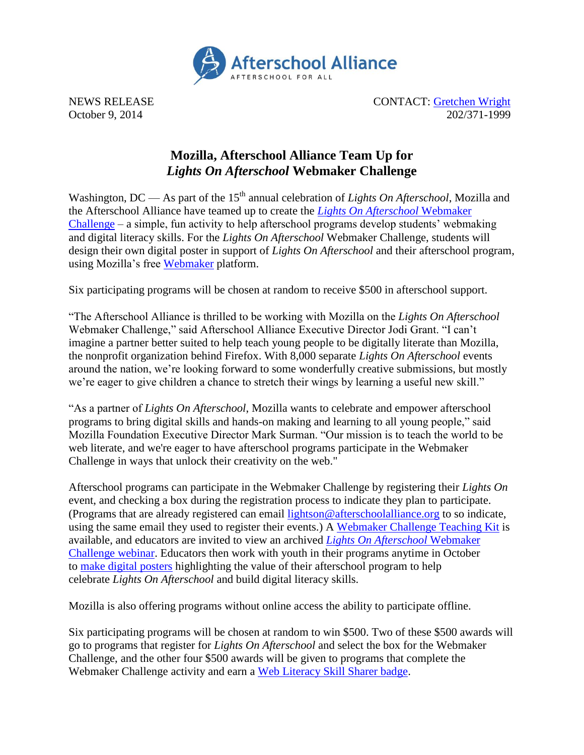

NEWS RELEASE CONTACT: [Gretchen Wright](mailto:gretchen@prsolutionsdc.com) October 9, 2014 202/371-1999

## **Mozilla, Afterschool Alliance Team Up for**  *Lights On Afterschool* **Webmaker Challenge**

Washington, DC — As part of the 15<sup>th</sup> annual celebration of *Lights On Afterschool*, Mozilla and the Afterschool Alliance have teamed up to create the *[Lights On Afterschool](https://welcome.webmaker.org/signup/lightson/)* Webmaker [Challenge](https://welcome.webmaker.org/signup/lightson/) – a simple, fun activity to help afterschool programs develop students' webmaking and digital literacy skills. For the *Lights On Afterschool* Webmaker Challenge, students will design their own digital poster in support of *Lights On Afterschool* and their afterschool program, using Mozilla's free [Webmaker](https://webmaker.org/) platform.

Six participating programs will be chosen at random to receive \$500 in afterschool support.

"The Afterschool Alliance is thrilled to be working with Mozilla on the *Lights On Afterschool* Webmaker Challenge," said Afterschool Alliance Executive Director Jodi Grant. "I can't imagine a partner better suited to help teach young people to be digitally literate than Mozilla, the nonprofit organization behind Firefox. With 8,000 separate *Lights On Afterschool* events around the nation, we're looking forward to some wonderfully creative submissions, but mostly we're eager to give children a chance to stretch their wings by learning a useful new skill."

"As a partner of *Lights On Afterschool*, Mozilla wants to celebrate and empower afterschool programs to bring digital skills and hands-on making and learning to all young people," said Mozilla Foundation Executive Director Mark Surman. "Our mission is to teach the world to be web literate, and we're eager to have afterschool programs participate in the Webmaker Challenge in ways that unlock their creativity on the web."

Afterschool programs can participate in the Webmaker Challenge by registering their *Lights On* event, and checking a box during the registration process to indicate they plan to participate. (Programs that are already registered can email [lightson@afterschoolalliance.org](mailto:lightson@afterschoolalliance.org) to so indicate, using the same email they used to register their events.) A [Webmaker Challenge Teaching Kit](https://mozilla.makes.org/thimble/LTU0NzIyNTM0NA==/lights-on-afterschool-webmaker-challenge) is available, and educators are invited to view an archived *[Lights On Afterschool](file:///C:/Users/LISA/AppData/Local/Microsoft/Windows/Temporary%20Internet%20Files/Content.Outlook/MOKSN6D7/:%20%20http:/www.afterschoolalliance.org/webinar/archives.cfm)* Webmaker [Challenge webinar.](file:///C:/Users/LISA/AppData/Local/Microsoft/Windows/Temporary%20Internet%20Files/Content.Outlook/MOKSN6D7/:%20%20http:/www.afterschoolalliance.org/webinar/archives.cfm) Educators then work with youth in their programs anytime in October to [make digital posters](https://thimble.webmaker.org/project/88276/remix) highlighting the value of their afterschool program to help celebrate *Lights On Afterschool* and build digital literacy skills.

Mozilla is also offering programs without online access the ability to participate offline.

Six participating programs will be chosen at random to win \$500. Two of these \$500 awards will go to programs that register for *Lights On Afterschool* and select the box for the Webmaker Challenge, and the other four \$500 awards will be given to programs that complete the Webmaker Challenge activity and earn a [Web Literacy Skill Sharer badge.](https://webmaker.org/en-US/badges/skill-sharer)